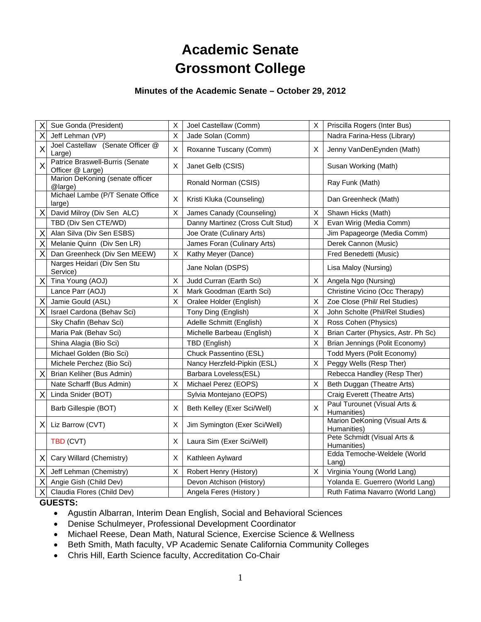# **Academic Senate Grossmont College**

### **Minutes of the Academic Senate – October 29, 2012**

| Sue Gonda (President)                   | $\sf X$                                                                                                                                    | Joel Castellaw (Comm)            | X        | Priscilla Rogers (Inter Bus)                  |
|-----------------------------------------|--------------------------------------------------------------------------------------------------------------------------------------------|----------------------------------|----------|-----------------------------------------------|
| Jeff Lehman (VP)                        | X                                                                                                                                          | Jade Solan (Comm)                |          | Nadra Farina-Hess (Library)                   |
| Large)                                  | X                                                                                                                                          | Roxanne Tuscany (Comm)           | X        | Jenny VanDenEynden (Math)                     |
| Officer @ Large)                        | X                                                                                                                                          | Janet Gelb (CSIS)                |          | Susan Working (Math)                          |
| @large)                                 |                                                                                                                                            | Ronald Norman (CSIS)             |          | Ray Funk (Math)                               |
| large)                                  | X                                                                                                                                          | Kristi Kluka (Counseling)        |          | Dan Greenheck (Math)                          |
| $\times$<br>David Milroy (Div Sen ALC)  | X                                                                                                                                          | James Canady (Counseling)        | X        | Shawn Hicks (Math)                            |
| TBD (Div Sen CTE/WD)                    |                                                                                                                                            | Danny Martinez (Cross Cult Stud) | X        | Evan Wirig (Media Comm)                       |
| Alan Silva (Div Sen ESBS)               |                                                                                                                                            | Joe Orate (Culinary Arts)        |          | Jim Papageorge (Media Comm)                   |
| Melanie Quinn (Div Sen LR)              |                                                                                                                                            | James Foran (Culinary Arts)      |          | Derek Cannon (Music)                          |
| Dan Greenheck (Div Sen MEEW)            | X                                                                                                                                          | Kathy Meyer (Dance)              |          | Fred Benedetti (Music)                        |
| Narges Heidari (Div Sen Stu<br>Service) |                                                                                                                                            | Jane Nolan (DSPS)                |          | Lisa Maloy (Nursing)                          |
| Tina Young (AOJ)<br>$\times$            | X                                                                                                                                          | Judd Curran (Earth Sci)          | Χ        | Angela Ngo (Nursing)                          |
| Lance Parr (AOJ)                        | X                                                                                                                                          | Mark Goodman (Earth Sci)         |          | Christine Vicino (Occ Therapy)                |
| Jamie Gould (ASL)                       | X                                                                                                                                          | Oralee Holder (English)          | Х        | Zoe Close (Phil/ Rel Studies)                 |
| Israel Cardona (Behav Sci)              |                                                                                                                                            | Tony Ding (English)              | X        | John Scholte (Phil/Rel Studies)               |
| Sky Chafin (Behav Sci)                  |                                                                                                                                            | Adelle Schmitt (English)         | $\sf X$  | Ross Cohen (Physics)                          |
| Maria Pak (Behav Sci)                   |                                                                                                                                            | Michelle Barbeau (English)       | $\sf X$  | Brian Carter (Physics, Astr. Ph Sc)           |
| Shina Alagia (Bio Sci)                  |                                                                                                                                            | TBD (English)                    | X        | Brian Jennings (Polit Economy)                |
| Michael Golden (Bio Sci)                |                                                                                                                                            | Chuck Passentino (ESL)           |          | Todd Myers (Polit Economy)                    |
| Michele Perchez (Bio Sci)               |                                                                                                                                            | Nancy Herzfeld-Pipkin (ESL)      | Χ        | Peggy Wells (Resp Ther)                       |
| Brian Keliher (Bus Admin)               |                                                                                                                                            | Barbara Loveless(ESL)            |          | Rebecca Handley (Resp Ther)                   |
| Nate Scharff (Bus Admin)                | X                                                                                                                                          | Michael Perez (EOPS)             | Χ        | Beth Duggan (Theatre Arts)                    |
| $\times$<br>Linda Snider (BOT)          |                                                                                                                                            | Sylvia Montejano (EOPS)          |          | Craig Everett (Theatre Arts)                  |
| Barb Gillespie (BOT)                    | X                                                                                                                                          | Beth Kelley (Exer Sci/Well)      | X        | Paul Turounet (Visual Arts &<br>Humanities)   |
| Liz Barrow (CVT)<br>ΧI                  | х                                                                                                                                          | Jim Symington (Exer Sci/Well)    |          | Marion DeKoning (Visual Arts &<br>Humanities) |
| TBD (CVT)                               | Х                                                                                                                                          | Laura Sim (Exer Sci/Well)        |          | Pete Schmidt (Visual Arts &<br>Humanities)    |
| Cary Willard (Chemistry)<br>ΧI          | X                                                                                                                                          | Kathleen Aylward                 |          | Edda Temoche-Weldele (World<br>$L$ ang)       |
| Jeff Lehman (Chemistry)                 | Х                                                                                                                                          | Robert Henry (History)           | $\times$ | Virginia Young (World Lang)                   |
| Angie Gish (Child Dev)                  |                                                                                                                                            | Devon Atchison (History)         |          | Yolanda E. Guerrero (World Lang)              |
| Claudia Flores (Child Dev)              |                                                                                                                                            | Angela Feres (History)           |          | Ruth Fatima Navarro (World Lang)              |
|                                         | Joel Castellaw (Senate Officer @<br>Patrice Braswell-Burris (Senate<br>Marion DeKoning (senate officer<br>Michael Lambe (P/T Senate Office |                                  |          |                                               |

#### **GUESTS:**

- Agustin Albarran, Interim Dean English, Social and Behavioral Sciences
- Denise Schulmeyer, Professional Development Coordinator
- Michael Reese, Dean Math, Natural Science, Exercise Science & Wellness
- Beth Smith, Math faculty, VP Academic Senate California Community Colleges
- Chris Hill, Earth Science faculty, Accreditation Co-Chair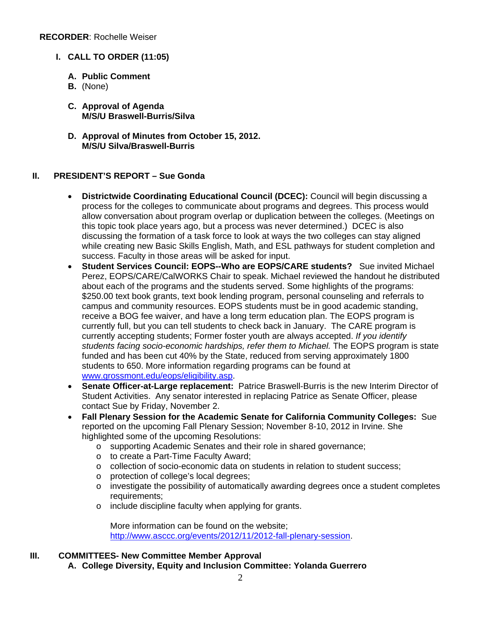- **I. CALL TO ORDER (11:05)** 
	- **A. Public Comment**
	- **B.** (None)
	- **C. Approval of Agenda M/S/U Braswell-Burris/Silva**
	- **D. Approval of Minutes from October 15, 2012. M/S/U Silva/Braswell-Burris**

# **II. PRESIDENT'S REPORT – Sue Gonda**

- **Districtwide Coordinating Educational Council (DCEC):** Council will begin discussing a process for the colleges to communicate about programs and degrees. This process would allow conversation about program overlap or duplication between the colleges. (Meetings on this topic took place years ago, but a process was never determined.) DCEC is also discussing the formation of a task force to look at ways the two colleges can stay aligned while creating new Basic Skills English, Math, and ESL pathways for student completion and success. Faculty in those areas will be asked for input.
- **Student Services Council: EOPS--Who are EOPS/CARE students?** Sue invited Michael Perez, EOPS/CARE/CalWORKS Chair to speak. Michael reviewed the handout he distributed about each of the programs and the students served. Some highlights of the programs: \$250.00 text book grants, text book lending program, personal counseling and referrals to campus and community resources. EOPS students must be in good academic standing, receive a BOG fee waiver, and have a long term education plan. The EOPS program is currently full, but you can tell students to check back in January. The CARE program is currently accepting students; Former foster youth are always accepted. *If you identify students facing socio-economic hardships, refer them to Michael.* The EOPS program is state funded and has been cut 40% by the State, reduced from serving approximately 1800 students to 650. More information regarding programs can be found at www.grossmont.edu/eops/eligibility.asp.
- **Senate Officer-at-Large replacement:** Patrice Braswell-Burris is the new Interim Director of Student Activities. Any senator interested in replacing Patrice as Senate Officer, please contact Sue by Friday, November 2.
- **Fall Plenary Session for the Academic Senate for California Community Colleges:** Sue reported on the upcoming Fall Plenary Session; November 8-10, 2012 in Irvine. She highlighted some of the upcoming Resolutions:
	- o supporting Academic Senates and their role in shared governance;
	- o to create a Part-Time Faculty Award;
	- o collection of socio-economic data on students in relation to student success;
	- o protection of college's local degrees;
	- o investigate the possibility of automatically awarding degrees once a student completes requirements;
	- o include discipline faculty when applying for grants.

More information can be found on the website; http://www.asccc.org/events/2012/11/2012-fall-plenary-session.

# **III. COMMITTEES- New Committee Member Approval**

**A. College Diversity, Equity and Inclusion Committee: Yolanda Guerrero**